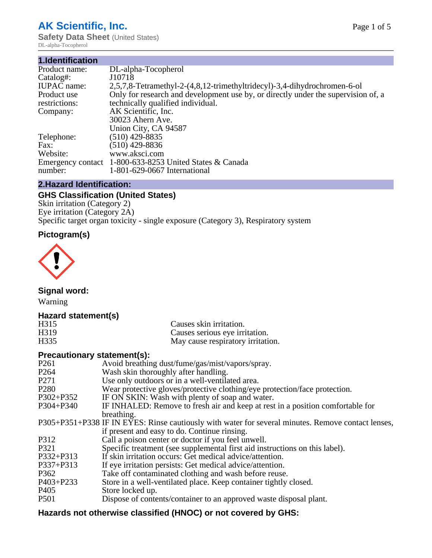# **AK Scientific, Inc.**

**Safety Data Sheet** (United States) DL-alpha-Tocopherol

| 1.Identification   |                                                                                   |
|--------------------|-----------------------------------------------------------------------------------|
| Product name:      | DL-alpha-Tocopherol                                                               |
| Catalog#:          | J10718                                                                            |
| <b>IUPAC</b> name: | 2,5,7,8-Tetramethyl-2-(4,8,12-trimethyltridecyl)-3,4-dihydrochromen-6-ol          |
| Product use        | Only for research and development use by, or directly under the supervision of, a |
| restrictions:      | technically qualified individual.                                                 |
| Company:           | AK Scientific, Inc.                                                               |
|                    | 30023 Ahern Ave.                                                                  |
|                    | Union City, CA 94587                                                              |
| Telephone:         | $(510)$ 429-8835                                                                  |
| Fax:               | $(510)$ 429-8836                                                                  |
| Website:           | www.aksci.com                                                                     |
|                    | Emergency contact 1-800-633-8253 United States & Canada                           |
| number:            | 1-801-629-0667 International                                                      |

# **2.Hazard Identification:**

# **GHS Classification (United States)**

Skin irritation (Category 2) Eye irritation (Category 2A) Specific target organ toxicity - single exposure (Category 3), Respiratory system

# **Pictogram(s)**



**Signal word:**

Warning

# **Hazard statement(s)**

| H <sub>315</sub>  | Causes skin irritation.           |
|-------------------|-----------------------------------|
| H <sub>3</sub> 19 | Causes serious eye irritation.    |
| H335              | May cause respiratory irritation. |

## **Precautionary statement(s):**

| P <sub>261</sub> | Avoid breathing dust/fume/gas/mist/vapors/spray.                                                   |
|------------------|----------------------------------------------------------------------------------------------------|
| P <sub>264</sub> | Wash skin thoroughly after handling.                                                               |
| P <sub>271</sub> | Use only outdoors or in a well-ventilated area.                                                    |
| P <sub>280</sub> | Wear protective gloves/protective clothing/eye protection/face protection.                         |
| P302+P352        | IF ON SKIN: Wash with plenty of soap and water.                                                    |
| $P304 + P340$    | IF INHALED: Remove to fresh air and keep at rest in a position comfortable for                     |
|                  | breathing.                                                                                         |
|                  | P305+P351+P338 IF IN EYES: Rinse cautiously with water for several minutes. Remove contact lenses, |
|                  | if present and easy to do. Continue rinsing.                                                       |
| P312             | Call a poison center or doctor if you feel unwell.                                                 |
| P321             | Specific treatment (see supplemental first aid instructions on this label).                        |
| P332+P313        | If skin irritation occurs: Get medical advice/attention.                                           |
| P337+P313        | If eye irritation persists: Get medical advice/attention.                                          |
| P362             | Take off contaminated clothing and wash before reuse.                                              |
| P403+P233        | Store in a well-ventilated place. Keep container tightly closed.                                   |
| P <sub>405</sub> | Store locked up.                                                                                   |
| P <sub>501</sub> | Dispose of contents/container to an approved waste disposal plant.                                 |
|                  |                                                                                                    |

# **Hazards not otherwise classified (HNOC) or not covered by GHS:**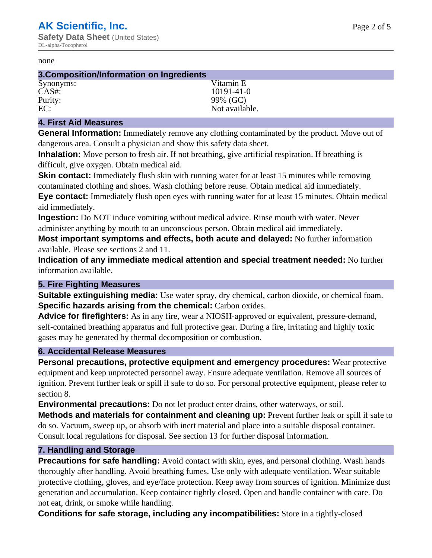#### none

#### **3.Composition/Information on Ingredients**

Synonyms: Vitamin E Purity: 99% (GC)

CAS#: 10191-41-0 EC: Not available.

## **4. First Aid Measures**

**General Information:** Immediately remove any clothing contaminated by the product. Move out of dangerous area. Consult a physician and show this safety data sheet.

**Inhalation:** Move person to fresh air. If not breathing, give artificial respiration. If breathing is difficult, give oxygen. Obtain medical aid.

**Skin contact:** Immediately flush skin with running water for at least 15 minutes while removing contaminated clothing and shoes. Wash clothing before reuse. Obtain medical aid immediately. **Eye contact:** Immediately flush open eyes with running water for at least 15 minutes. Obtain medical aid immediately.

**Ingestion:** Do NOT induce vomiting without medical advice. Rinse mouth with water. Never administer anything by mouth to an unconscious person. Obtain medical aid immediately.

**Most important symptoms and effects, both acute and delayed:** No further information available. Please see sections 2 and 11.

**Indication of any immediate medical attention and special treatment needed:** No further information available.

## **5. Fire Fighting Measures**

**Suitable extinguishing media:** Use water spray, dry chemical, carbon dioxide, or chemical foam. **Specific hazards arising from the chemical:** Carbon oxides.

**Advice for firefighters:** As in any fire, wear a NIOSH-approved or equivalent, pressure-demand, self-contained breathing apparatus and full protective gear. During a fire, irritating and highly toxic gases may be generated by thermal decomposition or combustion.

## **6. Accidental Release Measures**

**Personal precautions, protective equipment and emergency procedures:** Wear protective equipment and keep unprotected personnel away. Ensure adequate ventilation. Remove all sources of ignition. Prevent further leak or spill if safe to do so. For personal protective equipment, please refer to section 8.

**Environmental precautions:** Do not let product enter drains, other waterways, or soil.

**Methods and materials for containment and cleaning up:** Prevent further leak or spill if safe to do so. Vacuum, sweep up, or absorb with inert material and place into a suitable disposal container. Consult local regulations for disposal. See section 13 for further disposal information.

## **7. Handling and Storage**

**Precautions for safe handling:** Avoid contact with skin, eyes, and personal clothing. Wash hands thoroughly after handling. Avoid breathing fumes. Use only with adequate ventilation. Wear suitable protective clothing, gloves, and eye/face protection. Keep away from sources of ignition. Minimize dust generation and accumulation. Keep container tightly closed. Open and handle container with care. Do not eat, drink, or smoke while handling.

**Conditions for safe storage, including any incompatibilities:** Store in a tightly-closed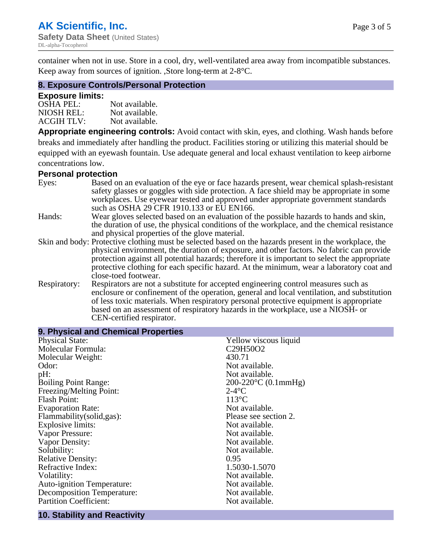container when not in use. Store in a cool, dry, well-ventilated area away from incompatible substances. Keep away from sources of ignition. ,Store long-term at 2-8°C.

## **8. Exposure Controls/Personal Protection**

#### **Exposure limits:**

| <b>OSHA PEL:</b>  | Not available. |
|-------------------|----------------|
| NIOSH REL:        | Not available. |
| <b>ACGIH TLV:</b> | Not available. |

**Appropriate engineering controls:** Avoid contact with skin, eyes, and clothing. Wash hands before breaks and immediately after handling the product. Facilities storing or utilizing this material should be equipped with an eyewash fountain. Use adequate general and local exhaust ventilation to keep airborne concentrations low.

#### **Personal protection**

| Eyes:        | Based on an evaluation of the eye or face hazards present, wear chemical splash-resistant<br>safety glasses or goggles with side protection. A face shield may be appropriate in some |  |  |
|--------------|---------------------------------------------------------------------------------------------------------------------------------------------------------------------------------------|--|--|
|              | workplaces. Use eyewear tested and approved under appropriate government standards<br>such as OSHA 29 CFR 1910.133 or EU EN166.                                                       |  |  |
| Hands:       | Wear gloves selected based on an evaluation of the possible hazards to hands and skin,                                                                                                |  |  |
|              | the duration of use, the physical conditions of the workplace, and the chemical resistance                                                                                            |  |  |
|              | and physical properties of the glove material.                                                                                                                                        |  |  |
|              | Skin and body: Protective clothing must be selected based on the hazards present in the workplace, the                                                                                |  |  |
|              | physical environment, the duration of exposure, and other factors. No fabric can provide                                                                                              |  |  |
|              | protection against all potential hazards; therefore it is important to select the appropriate                                                                                         |  |  |
|              | protective clothing for each specific hazard. At the minimum, wear a laboratory coat and                                                                                              |  |  |
|              | close-toed footwear.                                                                                                                                                                  |  |  |
| Respiratory: | Respirators are not a substitute for accepted engineering control measures such as<br>enclosure or confinement of the operation, general and local ventilation, and substitution      |  |  |
|              | of less toxic materials. When respiratory personal protective equipment is appropriate                                                                                                |  |  |
|              | based on an assessment of respiratory hazards in the workplace, use a NIOSH- or                                                                                                       |  |  |
|              | CEN-certified respirator.                                                                                                                                                             |  |  |

| 9. Physical and Chemical Properties           |                                                |  |  |
|-----------------------------------------------|------------------------------------------------|--|--|
| <b>Physical State:</b>                        | Yellow viscous liquid                          |  |  |
| Molecular Formula:                            | C <sub>29</sub> H <sub>50</sub> O <sub>2</sub> |  |  |
| Molecular Weight:                             | 430.71                                         |  |  |
| Odor:                                         | Not available.                                 |  |  |
| pH:                                           | Not available.                                 |  |  |
| <b>Boiling Point Range:</b>                   | $200-220$ °C (0.1mmHg)                         |  |  |
| Freezing/Melting Point:                       | $2-4$ °C                                       |  |  |
| <b>Flash Point:</b>                           | $113^{\circ}$ C                                |  |  |
| <b>Evaporation Rate:</b>                      | Not available.                                 |  |  |
| Flammability(solid,gas):                      | Please see section 2.                          |  |  |
| <b>Explosive limits:</b>                      | Not available.                                 |  |  |
| Vapor Pressure:                               | Not available.                                 |  |  |
| Vapor Density:                                | Not available.                                 |  |  |
| Solubility:                                   | Not available.                                 |  |  |
| <b>Relative Density:</b>                      | 0.95                                           |  |  |
| Refractive Index:                             | 1.5030-1.5070                                  |  |  |
| Volatility:                                   | Not available.                                 |  |  |
| Auto-ignition Temperature:                    | Not available.                                 |  |  |
| <b>Decomposition Temperature:</b>             | Not available.                                 |  |  |
| <b>Partition Coefficient:</b>                 | Not available.                                 |  |  |
| the property of the control of the control of |                                                |  |  |

## **10. Stability and Reactivity**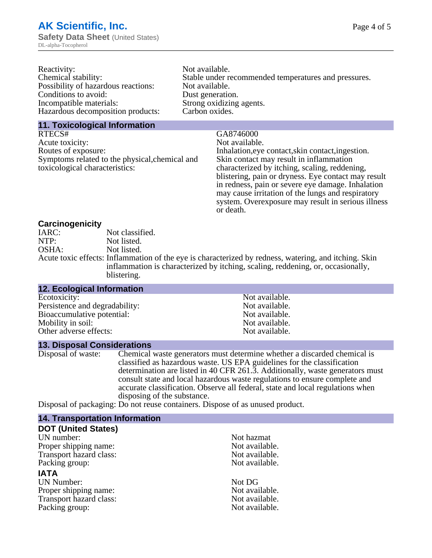| Reactivity:                         | Not available.                                       |
|-------------------------------------|------------------------------------------------------|
| Chemical stability:                 | Stable under recommended temperatures and pressures. |
| Possibility of hazardous reactions: | Not available.                                       |
| Conditions to avoid:                | Dust generation.                                     |
| Incompatible materials:             | Strong oxidizing agents.                             |
| Hazardous decomposition products:   | Carbon oxides.                                       |
|                                     |                                                      |

#### **11. Toxicological Information**

RTECS# GA8746000<br>Acute toxicity: Sales Contract Contract Contract Contract Contract Contract Contract Contract Contract Contract Contract Contract Contract Contract Contract Contract Contract Contract Contract Contract Con Acute toxicity:<br>Routes of exposure: Symptoms related to the physical,chemical and toxicological characteristics:

Inhalation,eye contact, skin contact, ingestion. Skin contact may result in inflammation characterized by itching, scaling, reddening, blistering, pain or dryness. Eye contact may result in redness, pain or severe eye damage. Inhalation may cause irritation of the lungs and respiratory system. Overexposure may result in serious illness or death.

#### **Carcinogenicity**

| IARC: | Not classified.                                                                                       |
|-------|-------------------------------------------------------------------------------------------------------|
| NTP:  | Not listed.                                                                                           |
| OSHA: | Not listed.                                                                                           |
|       | Acute toxic effects: Inflammation of the eye is characterized by redness, watering, and itching. Skin |
|       | inflammation is characterized by itching, scaling, reddening, or, occasionally,                       |
|       | blistering.                                                                                           |

| <b>12. Ecological Information</b> |                |  |
|-----------------------------------|----------------|--|
| Ecotoxicity:                      | Not available. |  |
| Persistence and degradability:    | Not available. |  |
| Bioaccumulative potential:        | Not available. |  |
| Mobility in soil:                 | Not available. |  |
| Other adverse effects:            | Not available. |  |

#### **13. Disposal Considerations**

Disposal of waste: Chemical waste generators must determine whether a discarded chemical is classified as hazardous waste. US EPA guidelines for the classification determination are listed in 40 CFR 261.3. Additionally, waste generators must consult state and local hazardous waste regulations to ensure complete and accurate classification. Observe all federal, state and local regulations when disposing of the substance.

Disposal of packaging: Do not reuse containers. Dispose of as unused product.

| <b>14. Transportation Information</b> |                |  |
|---------------------------------------|----------------|--|
| <b>DOT (United States)</b>            |                |  |
| UN number:                            | Not hazmat     |  |
| Proper shipping name:                 | Not available. |  |
| Transport hazard class:               | Not available. |  |
| Packing group:                        | Not available. |  |
| <b>IATA</b>                           |                |  |
| <b>UN Number:</b>                     | Not DG         |  |
| Proper shipping name:                 | Not available. |  |
| Transport hazard class:               | Not available. |  |
| Packing group:                        | Not available. |  |